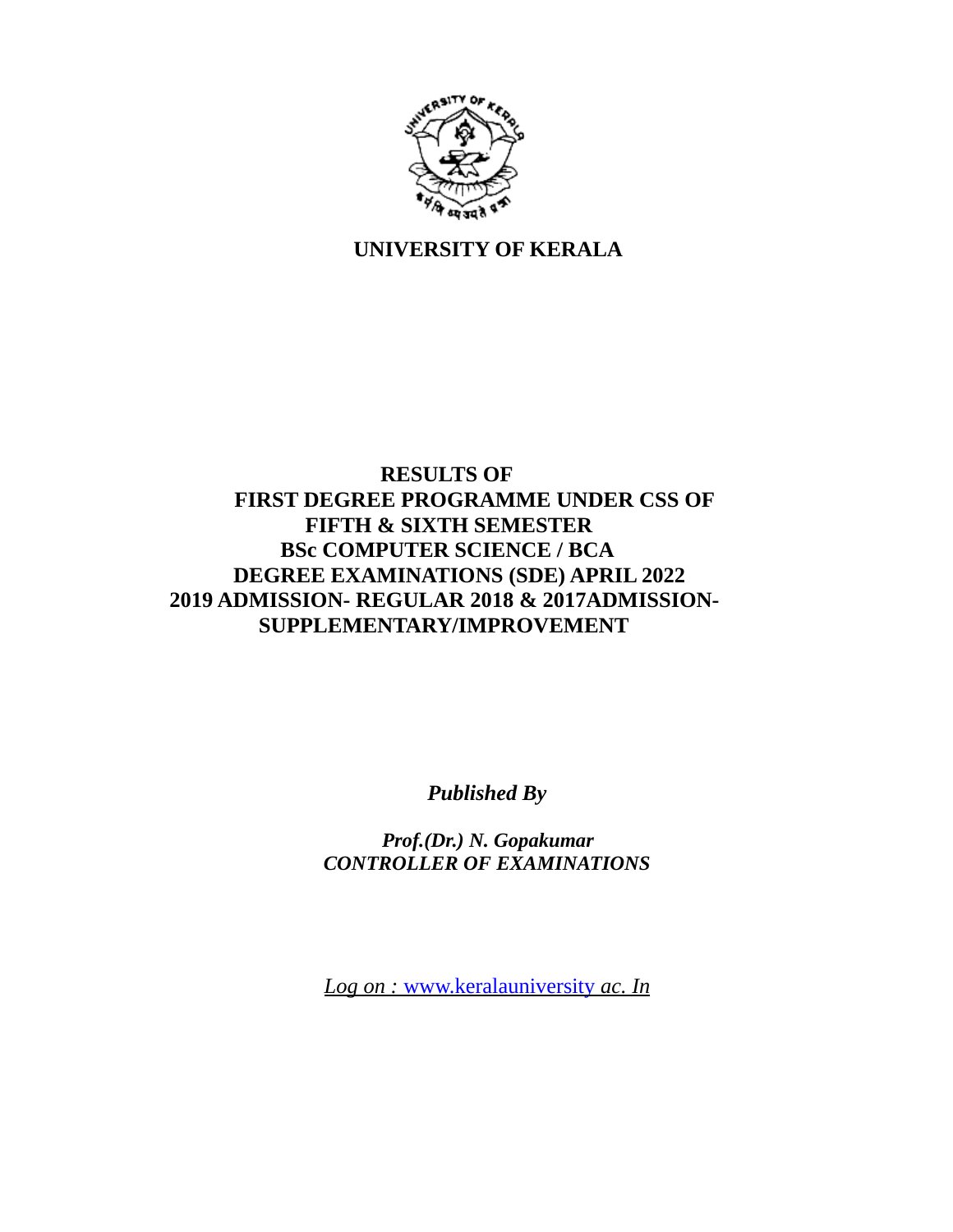

# **UNIVERSITY OF KERALA**

# **RESULTS OF FIRST DEGREE PROGRAMME UNDER CSS OF FIFTH & SIXTH SEMESTER BSc COMPUTER SCIENCE / BCA DEGREE EXAMINATIONS (SDE) APRIL 2022 2019 ADMISSION- REGULAR 2018 & 2017ADMISSION- SUPPLEMENTARY/IMPROVEMENT**

*Published By*

*Prof.(Dr.) N. Gopakumar CONTROLLER OF EXAMINATIONS*

 *Log on :* www.keralauniversity *ac. In*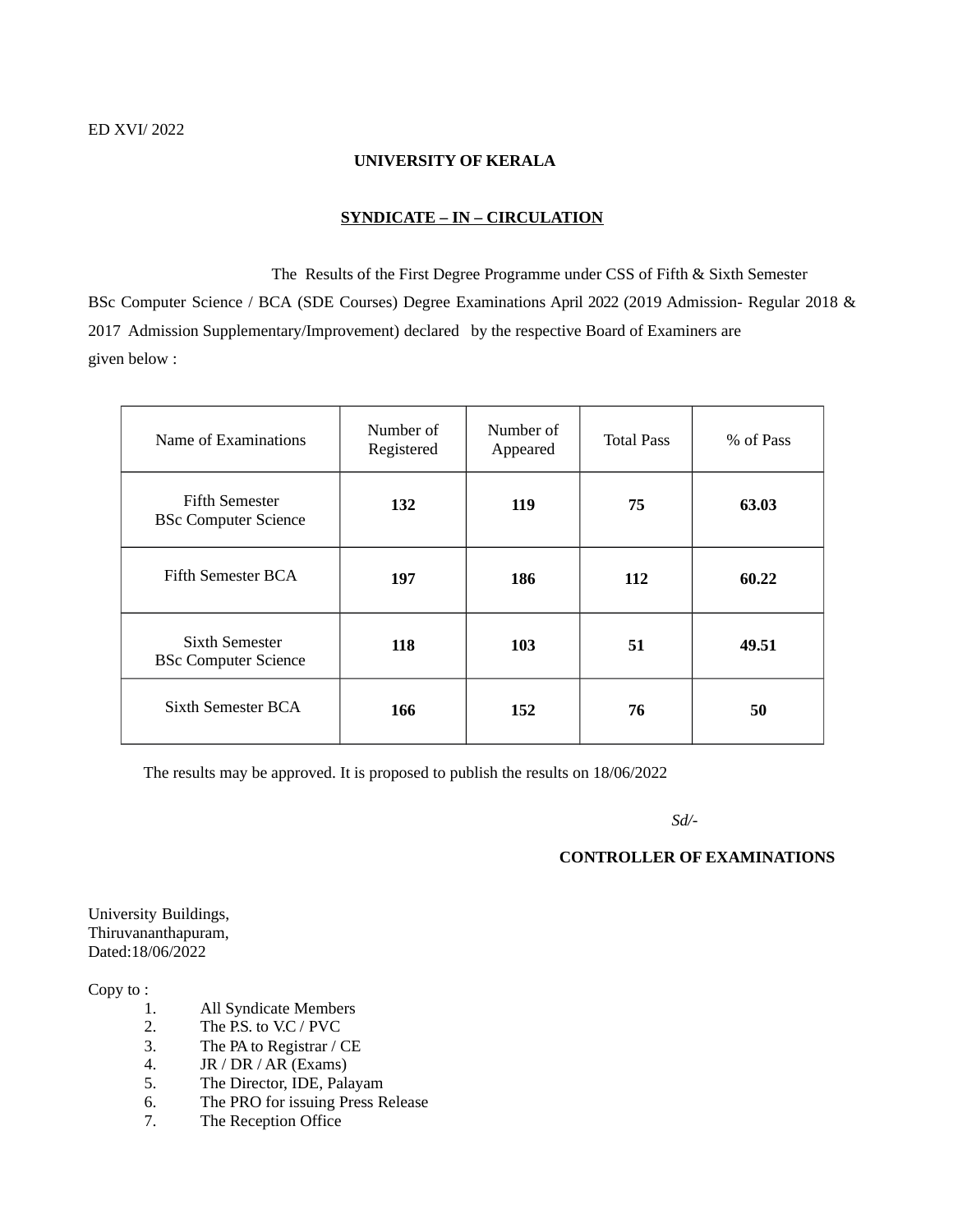#### **UNIVERSITY OF KERALA**

#### **SYNDICATE – IN – CIRCULATION**

 The Results of the First Degree Programme under CSS of Fifth & Sixth Semester BSc Computer Science / BCA (SDE Courses) Degree Examinations April 2022 (2019 Admission- Regular 2018 & 2017 Admission Supplementary/Improvement) declared by the respective Board of Examiners are given below :

| Name of Examinations                                 | Number of<br>Registered | Number of<br>Appeared | <b>Total Pass</b> | % of Pass |
|------------------------------------------------------|-------------------------|-----------------------|-------------------|-----------|
| <b>Fifth Semester</b><br><b>BSc Computer Science</b> | 132                     | 119                   | 75                | 63.03     |
| Fifth Semester BCA                                   | 197                     | 186                   | 112               | 60.22     |
| Sixth Semester<br><b>BSc Computer Science</b>        | 118                     | 103                   | 51                | 49.51     |
| Sixth Semester BCA                                   | 166                     | 152                   | 76                | 50        |

The results may be approved. It is proposed to publish the results on 18/06/2022

*Sd/-*

#### **CONTROLLER OF EXAMINATIONS**

University Buildings, Thiruvananthapuram, Dated:18/06/2022

Copy to :

- 1. All Syndicate Members
- 2. The P.S. to V.C / PVC
- 3. The PA to Registrar / CE
- 4. JR / DR / AR (Exams)
- 5. The Director, IDE, Palayam
- 6. The PRO for issuing Press Release
- 7. The Reception Office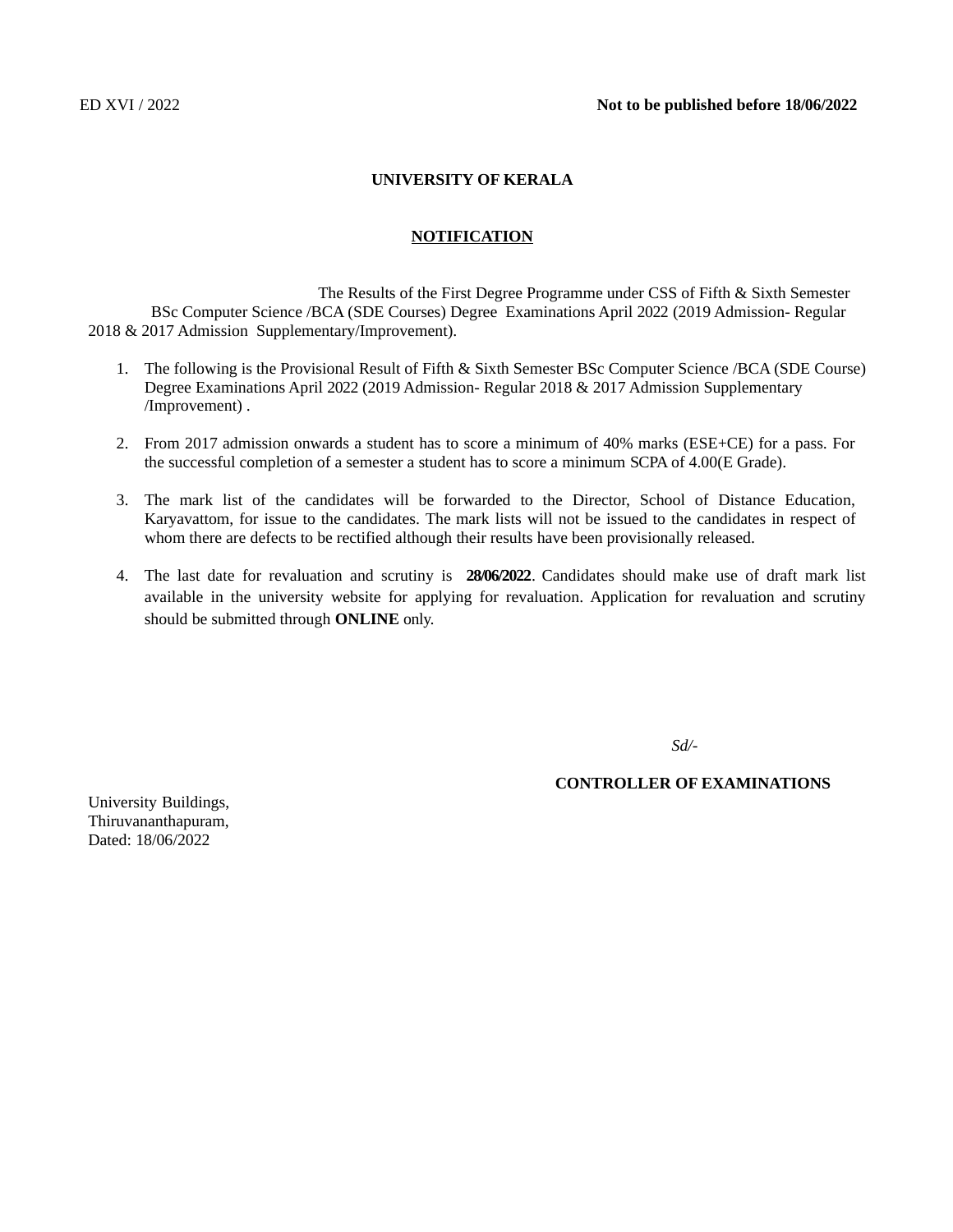#### **UNIVERSITY OF KERALA**

#### **NOTIFICATION**

 The Results of the First Degree Programme under CSS of Fifth & Sixth Semester BSc Computer Science /BCA (SDE Courses) Degree Examinations April 2022 (2019 Admission- Regular 2018 & 2017 Admission Supplementary/Improvement).

- 1. The following is the Provisional Result of Fifth & Sixth Semester BSc Computer Science /BCA (SDE Course) Degree Examinations April 2022 (2019 Admission- Regular 2018 & 2017 Admission Supplementary /Improvement) .
- 2. From 2017 admission onwards a student has to score a minimum of 40% marks (ESE+CE) for a pass. For the successful completion of a semester a student has to score a minimum SCPA of 4.00(E Grade).
- 3. The mark list of the candidates will be forwarded to the Director, School of Distance Education, Karyavattom, for issue to the candidates. The mark lists will not be issued to the candidates in respect of whom there are defects to be rectified although their results have been provisionally released.
- 4. The last date for revaluation and scrutiny is **28/06/2022**. Candidates should make use of draft mark list available in the university website for applying for revaluation. Application for revaluation and scrutiny should be submitted through **ONLINE** only.

*Sd/-*

#### **CONTROLLER OF EXAMINATIONS**

University Buildings, Thiruvananthapuram, Dated: 18/06/2022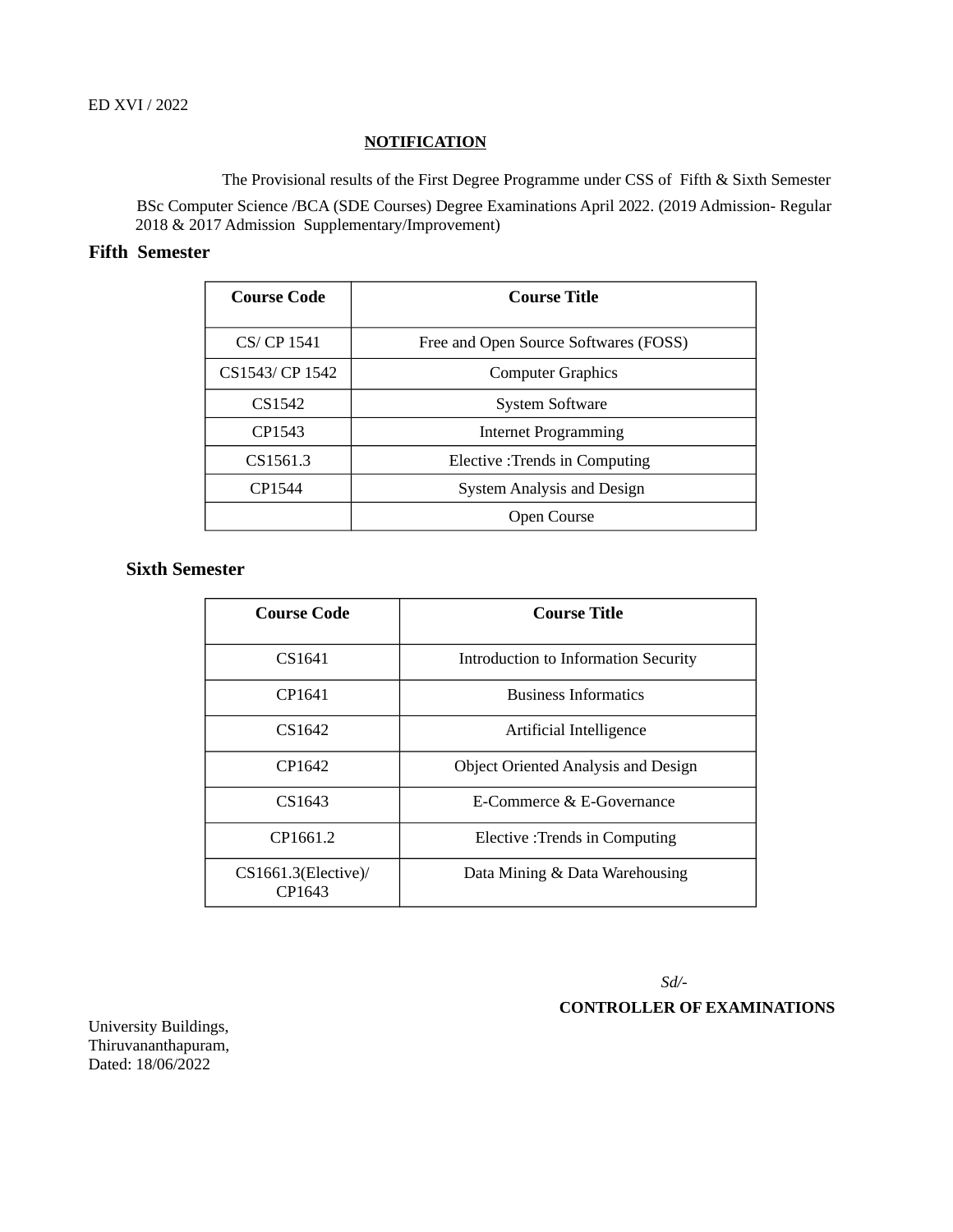#### **NOTIFICATION**

 The Provisional results of the First Degree Programme under CSS of Fifth & Sixth Semester BSc Computer Science /BCA (SDE Courses) Degree Examinations April 2022. (2019 Admission- Regular 2018 & 2017 Admission Supplementary/Improvement)

### **Fifth Semester**

| <b>Course Code</b> | <b>Course Title</b>                   |
|--------------------|---------------------------------------|
| CS/ CP 1541        | Free and Open Source Softwares (FOSS) |
| CS1543/ CP 1542    | <b>Computer Graphics</b>              |
| CS <sub>1542</sub> | <b>System Software</b>                |
| CP1543             | <b>Internet Programming</b>           |
| CS1561.3           | <b>Elective</b> : Trends in Computing |
| CP1544             | System Analysis and Design            |
|                    | Open Course                           |

### **Sixth Semester**

| Course Code                   | Course Title                               |  |  |
|-------------------------------|--------------------------------------------|--|--|
| CS1641                        | Introduction to Information Security       |  |  |
| CP1641                        | <b>Business Informatics</b>                |  |  |
| CS1642                        | Artificial Intelligence                    |  |  |
| CP1642                        | <b>Object Oriented Analysis and Design</b> |  |  |
| CS1643                        | E-Commerce & E-Governance                  |  |  |
| CP1661.2                      | Elective : Trends in Computing             |  |  |
| CS1661.3(Elective)/<br>CP1643 | Data Mining & Data Warehousing             |  |  |

 *Sd/-* 

**CONTROLLER OF EXAMINATIONS**

University Buildings, Thiruvananthapuram, Dated: 18/06/2022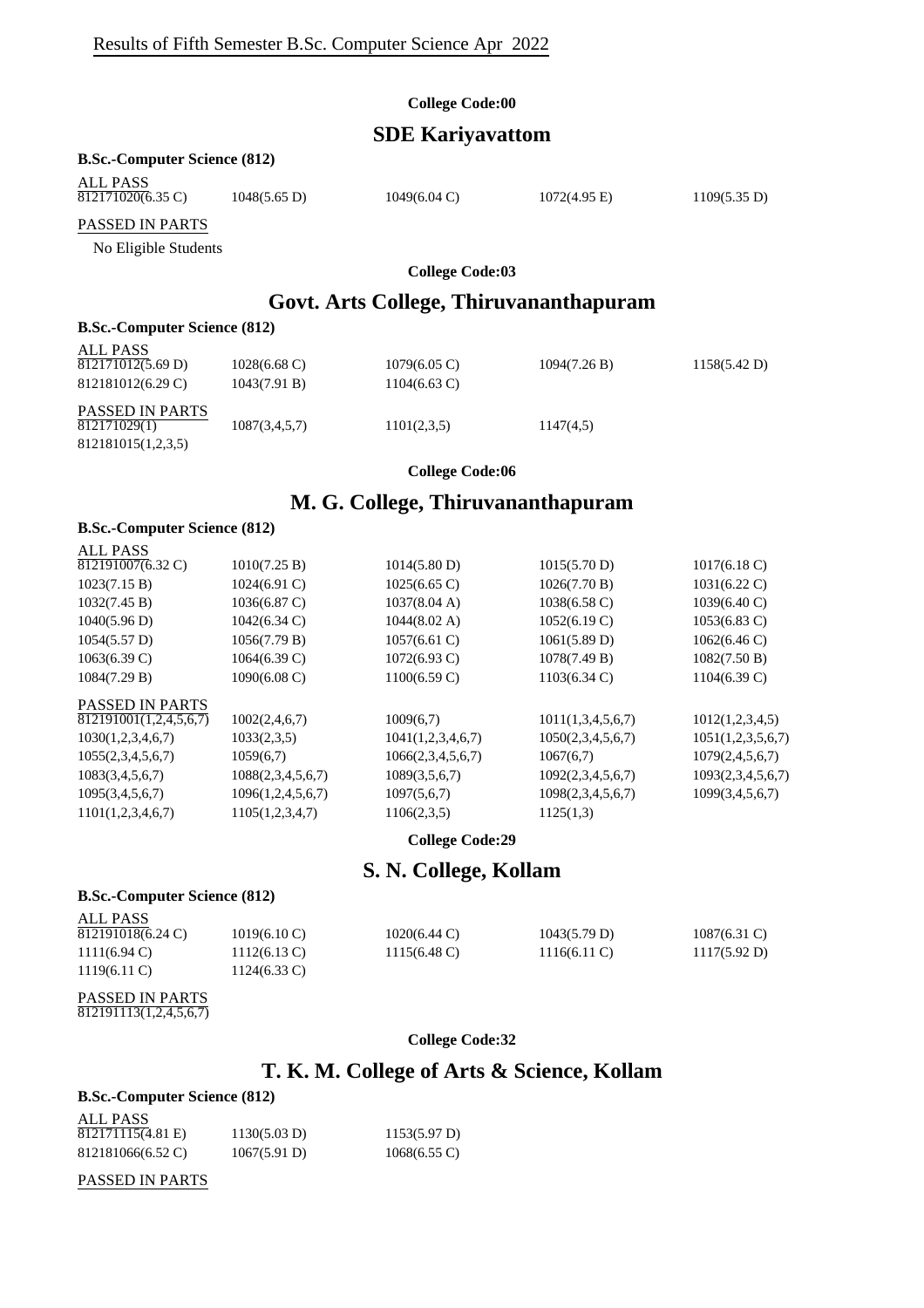# **SDE Kariyavattom**

#### **B.Sc.-Computer Science (812)**

| ALL PASS<br>812171020(6.35 C) | $1048(5.65 \text{ D})$ | $1049(6.04 \text{ C})$ | $1072(4.95 \text{ E})$ | 1109(5.35 D) |
|-------------------------------|------------------------|------------------------|------------------------|--------------|
| PASSED IN PARTS               |                        |                        |                        |              |

No Eligible Students

#### **College Code:03**

# **Govt. Arts College, Thiruvananthapuram**

#### **B.Sc.-Computer Science (812)**

| ALL PASS<br>812171012(5.69 D)<br>812181012(6.29 C)    | $1028(6.68 \text{ C})$<br>1043(7.91 B) | $1079(6.05 \text{ C})$<br>$1104(6.63 \text{ C})$ | 1094(7.26 B) | 1158(5.42 D) |
|-------------------------------------------------------|----------------------------------------|--------------------------------------------------|--------------|--------------|
| PASSED IN PARTS<br>812171029(1)<br>812181015(1,2,3,5) | 1087(3,4,5,7)                          | 1101(2,3,5)                                      | 1147(4,5)    |              |

#### **College Code:06**

### **M. G. College, Thiruvananthapuram**

#### **B.Sc.-Computer Science (812)**

| <b>ALL PASS</b>        |                        |                        |                        |                        |
|------------------------|------------------------|------------------------|------------------------|------------------------|
| 812191007(6.32 C)      | 1010(7.25 B)           | 1014(5.80 D)           | 1015(5.70 D)           | $1017(6.18 \text{ C})$ |
| 1023(7.15 B)           | $1024(6.91)$ C)        | $1025(6.65 \text{ C})$ | 1026(7.70 B)           | $1031(6.22 \text{ C})$ |
| 1032(7.45 B)           | $1036(6.87 \text{ C})$ | 1037(8.04 A)           | $1038(6.58 \text{ C})$ | $1039(6.40 \text{ C})$ |
| 1040(5.96 D)           | $1042(6.34 \text{ C})$ | $1044(8.02 \text{ A})$ | 1052(6.19 C)           | $1053(6.83 \text{ C})$ |
| 1054(5.57 D)           | 1056(7.79 B)           | $1057(6.61 \text{ C})$ | 1061(5.89 D)           | $1062(6.46 \text{ C})$ |
| $1063(6.39 \text{ C})$ | $1064(6.39 \text{ C})$ | $1072(6.93 \text{ C})$ | 1078(7.49 B)           | 1082(7.50 B)           |
| 1084(7.29 B)           | $1090(6.08 \text{ C})$ | $1100(6.59 \text{ C})$ | $1103(6.34)$ C)        | $1104(6.39 \text{ C})$ |
| <b>PASSED IN PARTS</b> |                        |                        |                        |                        |
| 812191001(1,2,4,5,6,7) | 1002(2,4,6,7)          | 1009(6,7)              | 1011(1,3,4,5,6,7)      | 1012(1,2,3,4,5)        |
| 1030(1,2,3,4,6,7)      | 1033(2,3,5)            | 1041(1,2,3,4,6,7)      | 1050(2,3,4,5,6,7)      | 1051(1,2,3,5,6,7)      |
| 1055(2,3,4,5,6,7)      | 1059(6,7)              | 1066(2,3,4,5,6,7)      | 1067(6,7)              | 1079(2,4,5,6,7)        |
| 1083(3,4,5,6,7)        | 1088(2,3,4,5,6,7)      | 1089(3,5,6,7)          | 1092(2,3,4,5,6,7)      | 1093(2,3,4,5,6,7)      |
| 1095(3,4,5,6,7)        | 1096(1,2,4,5,6,7)      | 1097(5,6,7)            | 1098(2,3,4,5,6,7)      | 1099(3,4,5,6,7)        |
| 1101(1,2,3,4,6,7)      | 1105(1,2,3,4,7)        | 1106(2,3,5)            | 1125(1,3)              |                        |
|                        |                        |                        |                        |                        |

**College Code:29**

### **S. N. College, Kollam**

#### **B.Sc.-Computer Science (812)**

| ALL PASS               |                          |                        |                        |                 |
|------------------------|--------------------------|------------------------|------------------------|-----------------|
| 812191018(6.24 C)      | $1019(6.10 \, \text{C})$ | $1020(6.44 \text{ C})$ | 1043(5.79 D)           | $1087(6.31)$ C) |
| $1111(6.94 \text{ C})$ | $1112(6.13 \text{ C})$   | $1115(6.48 \text{ C})$ | $1116(6.11 \text{ C})$ | 1117(5.92 D)    |
| $1119(6.11)$ C)        | 1124(6.33 C)             |                        |                        |                 |

# PASSED IN PARTS

812191113(1,2,4,5,6,7)

#### **College Code:32**

# **T. K. M. College of Arts & Science, Kollam**

### **B.Sc.-Computer Science (812)**

| ALL PASS          |              |                        |
|-------------------|--------------|------------------------|
| 812171115(4.81 E) | 1130(5.03 D) | 1153(5.97 D)           |
| 812181066(6.52 C) | 1067(5.91 D) | $1068(6.55 \text{ C})$ |

#### PASSED IN PARTS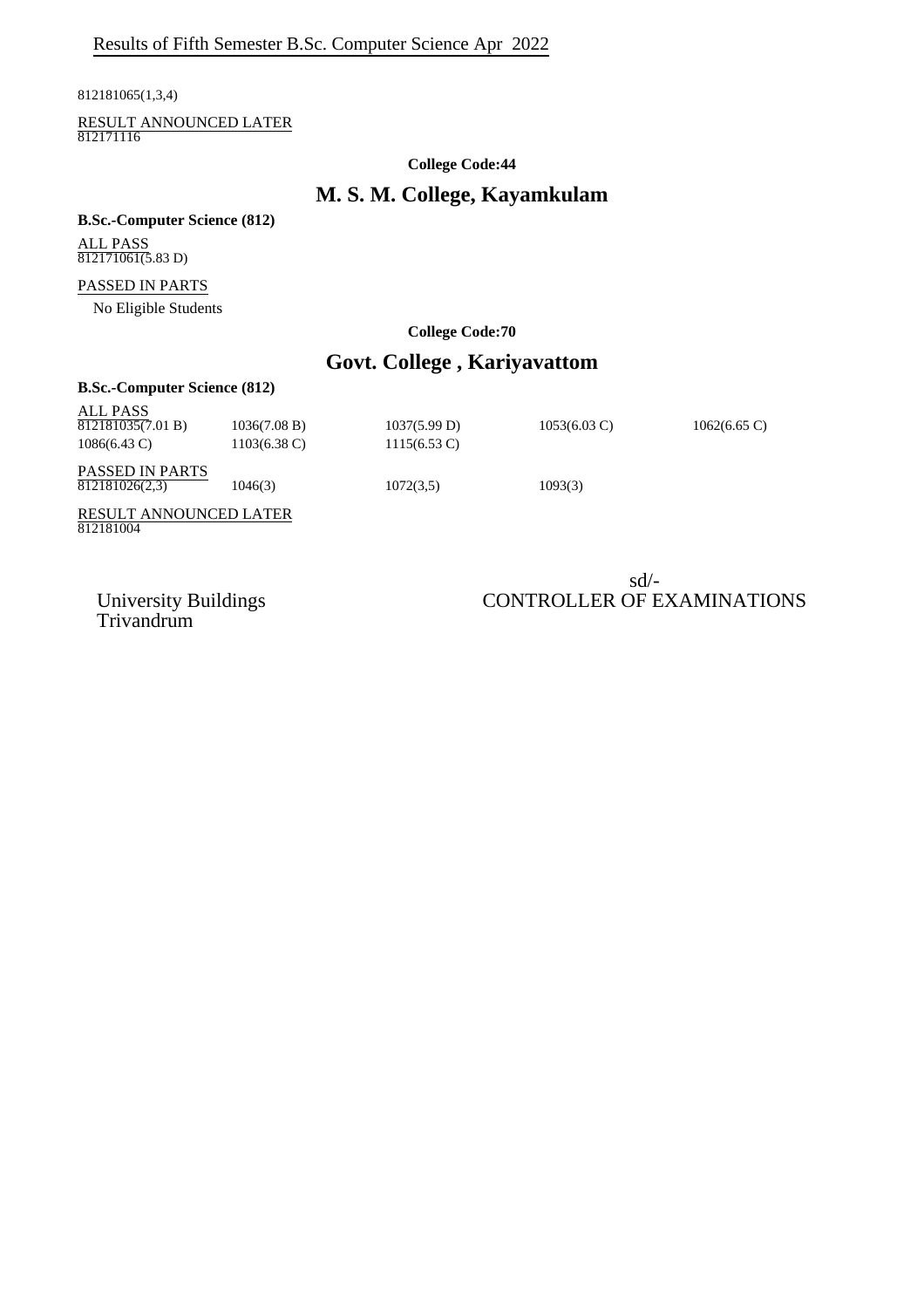812181065(1,3,4)

RESULT ANNOUNCED LATER 812171116

**College Code:44**

# **M. S. M. College, Kayamkulam**

#### **B.Sc.-Computer Science (812)**

ALL PASS 812171061(5.83 D)

#### PASSED IN PARTS

No Eligible Students

#### **College Code:70**

# **Govt. College , Kariyavattom**

| <b>B.Sc.-Computer Science (812)</b>                     |                                        |                                        |                        |                        |  |
|---------------------------------------------------------|----------------------------------------|----------------------------------------|------------------------|------------------------|--|
| ALL PASS<br>812181035(7.01 B)<br>$1086(6.43 \text{ C})$ | 1036(7.08 B)<br>$1103(6.38 \text{ C})$ | 1037(5.99 D)<br>$1115(6.53 \text{ C})$ | $1053(6.03 \text{ C})$ | $1062(6.65 \text{ C})$ |  |
| <b>PASSED IN PARTS</b><br>812181026(2,3)                | 1046(3)                                | 1072(3,5)                              | 1093(3)                |                        |  |
| <b>RESULT ANNOUNCED LATER</b><br>812181004              |                                        |                                        |                        |                        |  |

Trivandrum

### sd/- University Buildings CONTROLLER OF EXAMINATIONS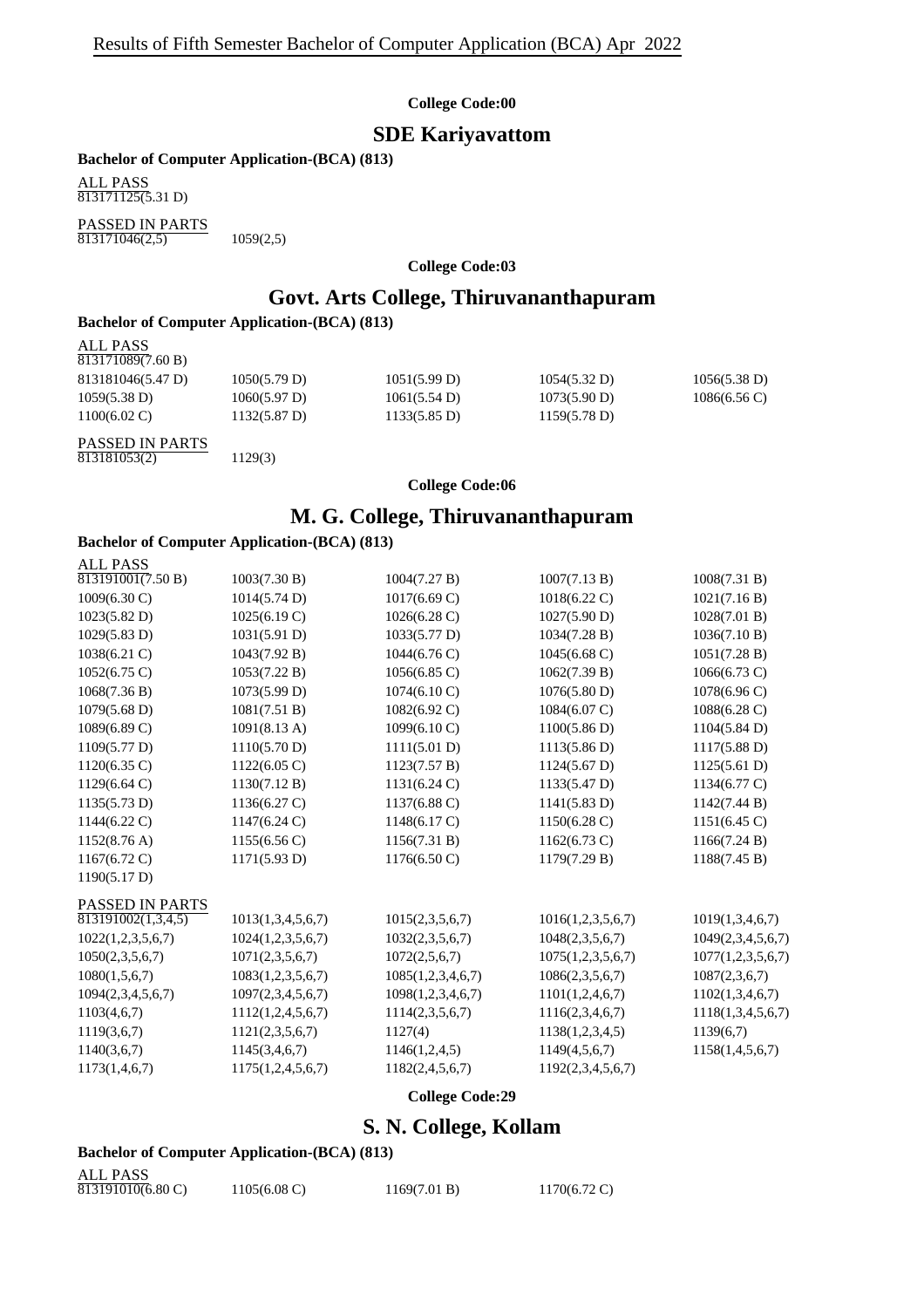### **SDE Kariyavattom**

**Bachelor of Computer Application-(BCA) (813)**

ALL PASS 813171125(5.31 D)

PASSED IN PARTS  $\overline{813171046(2,5)}$  1059(2,5)

**College Code:03**

# **Govt. Arts College, Thiruvananthapuram**

#### **Bachelor of Computer Application-(BCA) (813)**

| ALL PASS<br>813171089(7.60 B) |                        |                        |              |                        |
|-------------------------------|------------------------|------------------------|--------------|------------------------|
| 813181046(5.47 D)             | 1050(5.79 D)           | 1051(5.99 D)           | 1054(5.32 D) | 1056(5.38 D)           |
| 1059(5.38 D)                  | 1060(5.97 D)           | 1061(5.54 D)           | 1073(5.90 D) | $1086(6.56 \text{ C})$ |
| $1100(6.02 \text{ C})$        | $1132(5.87 \text{ D})$ | $1133(5.85 \text{ D})$ | 1159(5.78 D) |                        |
| PASSED IN PARTS               |                        |                        |              |                        |

813181053(2) 1129(3)

#### **College Code:06**

### **M. G. College, Thiruvananthapuram**

### **Bachelor of Computer Application-(BCA) (813)**

| <b>ALL PASS</b>                |                        |                        |                        |                   |
|--------------------------------|------------------------|------------------------|------------------------|-------------------|
| $\overline{813191001(7.50 B)}$ | 1003(7.30 B)           | 1004(7.27 B)           | 1007(7.13 B)           | 1008(7.31 B)      |
| 1009(6.30 C)                   | 1014(5.74 D)           | $1017(6.69 \text{ C})$ | $1018(6.22 \text{ C})$ | 1021(7.16 B)      |
| 1023(5.82 D)                   | 1025(6.19 C)           | $1026(6.28 \text{ C})$ | 1027(5.90 D)           | 1028(7.01 B)      |
| 1029(5.83 D)                   | 1031(5.91 D)           | 1033(5.77 D)           | 1034(7.28 B)           | 1036(7.10 B)      |
| 1038(6.21 C)                   | 1043(7.92 B)           | 1044(6.76 C)           | $1045(6.68 \text{ C})$ | 1051(7.28 B)      |
| $1052(6.75 \text{ C})$         | 1053(7.22 B)           | $1056(6.85 \text{ C})$ | 1062(7.39 B)           | 1066(6.73 C)      |
| 1068(7.36 B)                   | 1073(5.99 D)           | 1074(6.10 C)           | 1076(5.80 D)           | 1078(6.96 C)      |
| $1079(5.68 \text{ D})$         | 1081(7.51 B)           | 1082(6.92 C)           | $1084(6.07 \text{ C})$ | 1088(6.28 C)      |
| 1089(6.89 C)                   | 1091(8.13 A)           | 1099(6.10 C)           | 1100(5.86 D)           | 1104(5.84 D)      |
| 1109(5.77 D)                   | 1110(5.70 D)           | 1111(5.01 D)           | 1113(5.86 D)           | 1117(5.88 D)      |
| 1120(6.35 C)                   | 1122(6.05 C)           | 1123(7.57 B)           | 1124(5.67 D)           | 1125(5.61 D)      |
| $1129(6.64 \text{ C})$         | 1130(7.12 B)           | $1131(6.24 \text{ C})$ | 1133(5.47 D)           | 1134(6.77 C)      |
| 1135(5.73 D)                   | $1136(6.27 \text{ C})$ | 1137(6.88 C)           | 1141(5.83 D)           | 1142(7.44 B)      |
| $1144(6.22)$ C)                | $1147(6.24 \text{ C})$ | 1148(6.17 C)           | $1150(6.28 \text{ C})$ | 1151(6.45)        |
| $1152(8.76 \text{ A})$         | 1155(6.56 C)           | 1156(7.31 B)           | $1162(6.73)$ C)        | 1166(7.24 B)      |
| $1167(6.72 \text{ C})$         | 1171(5.93 D)           | 1176(6.50 C)           | 1179(7.29 B)           | 1188(7.45 B)      |
| 1190(5.17 D)                   |                        |                        |                        |                   |
| <b>PASSED IN PARTS</b>         |                        |                        |                        |                   |
| 813191002(1,3,4,5)             | 1013(1,3,4,5,6,7)      | 1015(2,3,5,6,7)        | 1016(1,2,3,5,6,7)      | 1019(1,3,4,6,7)   |
| 1022(1,2,3,5,6,7)              | 1024(1,2,3,5,6,7)      | 1032(2,3,5,6,7)        | 1048(2,3,5,6,7)        | 1049(2,3,4,5,6,7) |
| 1050(2,3,5,6,7)                | 1071(2,3,5,6,7)        | 1072(2,5,6,7)          | 1075(1,2,3,5,6,7)      | 1077(1,2,3,5,6,7) |
| 1080(1,5,6,7)                  | 1083(1,2,3,5,6,7)      | 1085(1,2,3,4,6,7)      | 1086(2,3,5,6,7)        | 1087(2,3,6,7)     |
| 1094(2,3,4,5,6,7)              | 1097(2,3,4,5,6,7)      | 1098(1,2,3,4,6,7)      | 1101(1,2,4,6,7)        | 1102(1,3,4,6,7)   |
| 1103(4,6,7)                    | 1112(1,2,4,5,6,7)      | 1114(2,3,5,6,7)        | 1116(2,3,4,6,7)        | 1118(1,3,4,5,6,7) |
| 1119(3,6,7)                    | 1121(2,3,5,6,7)        | 1127(4)                | 1138(1,2,3,4,5)        | 1139(6,7)         |
| 1140(3,6,7)                    | 1145(3,4,6,7)          | 1146(1,2,4,5)          | 1149(4,5,6,7)          | 1158(1,4,5,6,7)   |
| 1173(1,4,6,7)                  | 1175(1,2,4,5,6,7)      | 1182(2,4,5,6,7)        | 1192(2,3,4,5,6,7)      |                   |
|                                |                        |                        |                        |                   |

**College Code:29**

# **S. N. College, Kollam**

#### **Bachelor of Computer Application-(BCA) (813)**

| <b>ALL PASS</b>   |                        |              |                        |
|-------------------|------------------------|--------------|------------------------|
| 813191010(6.80 C) | $1105(6.08 \text{ C})$ | 1169(7.01 B) | $1170(6.72 \text{ C})$ |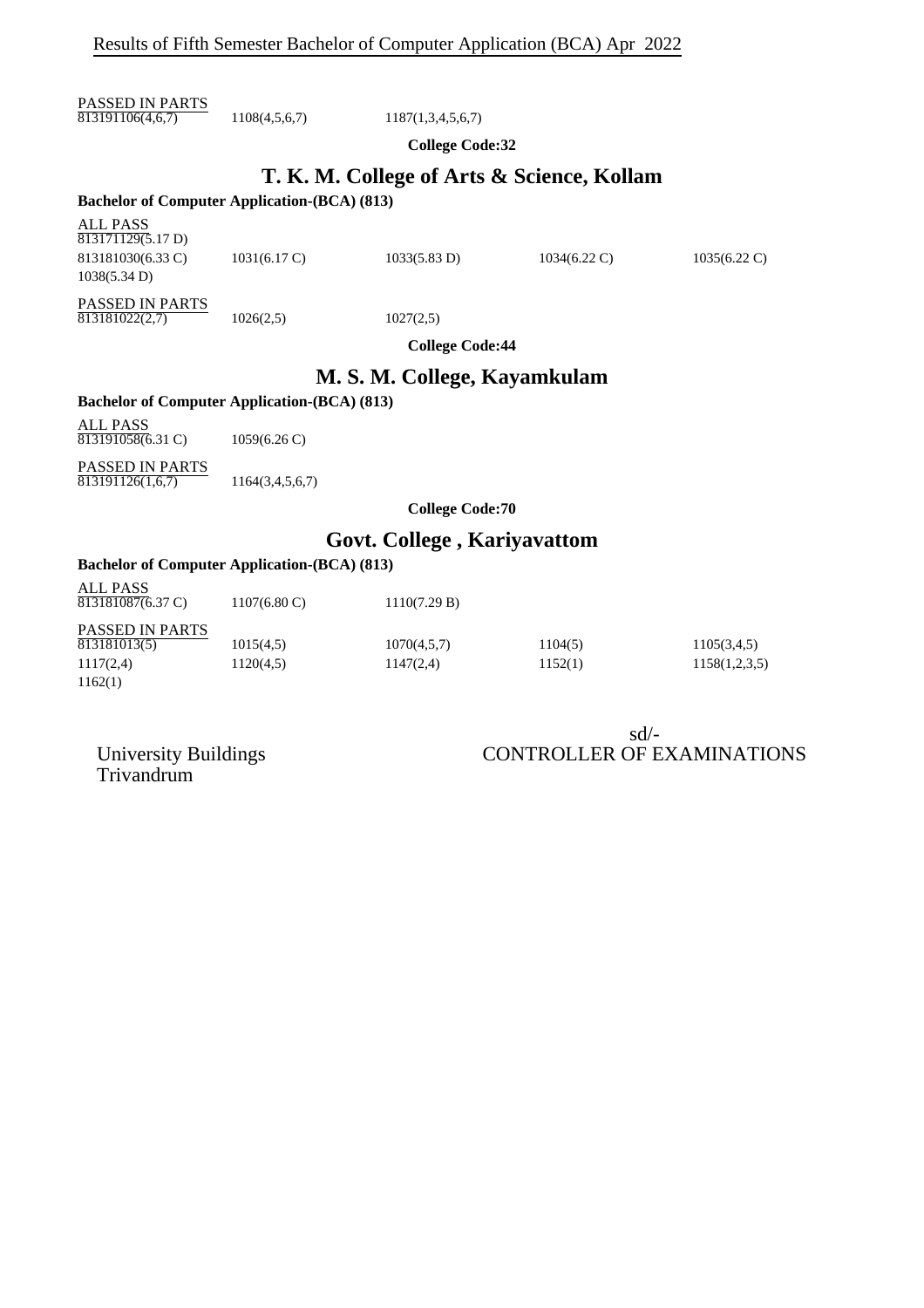PASSED IN PARTS  $\overline{813191106(4,6,7)}$  1108(4,5,6,7) 1187(1,3,4,5,6,7)

**College Code:32**

# **T. K. M. College of Arts & Science, Kollam**

#### **Bachelor of Computer Application-(BCA) (813)**

ALL PASS  $813171129(5.17 D)$ 813181030(6.33 C) 1031(6.17 C) 1033(5.83 D) 1034(6.22 C) 1035(6.22 C) 1038(5.34 D)

PASSED IN PARTS  $\overline{813181022(2.7)}$  1026(2.5) 1027(2.5)

**College Code:44**

### **M. S. M. College, Kayamkulam**

#### **Bachelor of Computer Application-(BCA) (813)**

ALL PASS 813191058(6.31 C) 1059(6.26 C)

PASSED IN PARTS  $\overline{813191126(1,6,7)}$  1164(3,4,5,6,7)

**College Code:70**

# **Govt. College , Kariyavattom**

#### **Bachelor of Computer Application-(BCA) (813)**

| <b>ALL PASS</b><br>813181087(6.37 C)   | $1107(6.80 \text{ C})$ | 1110(7.29 B) |         |               |
|----------------------------------------|------------------------|--------------|---------|---------------|
| <b>PASSED IN PARTS</b><br>813181013(5) | 1015(4,5)              | 1070(4,5,7)  | 1104(5) | 1105(3,4,5)   |
| 1117(2,4)                              | 1120(4,5)              | 1147(2,4)    | 1152(1) | 1158(1,2,3,5) |
| 1162(1)                                |                        |              |         |               |

sd/- University Buildings CONTROLLER OF EXAMINATIONS

Trivandrum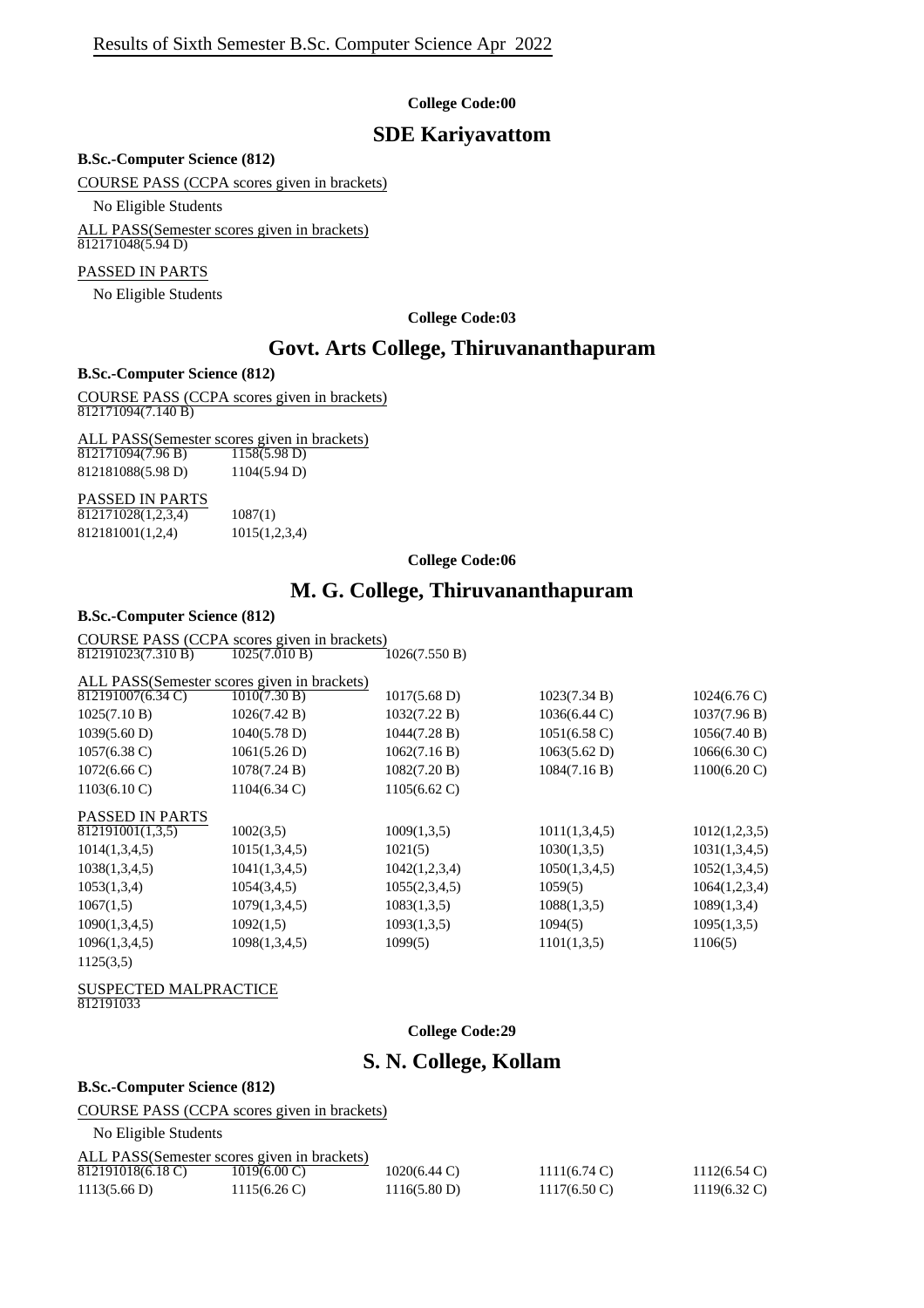### **SDE Kariyavattom**

#### **B.Sc.-Computer Science (812)**

COURSE PASS (CCPA scores given in brackets)

No Eligible Students

ALL PASS(Semester scores given in brackets)  $812171048(5.94 D)$ 

#### PASSED IN PARTS

No Eligible Students

**College Code:03**

### **Govt. Arts College, Thiruvananthapuram**

#### **B.Sc.-Computer Science (812)**

COURSE PASS (CCPA scores given in brackets)  $\frac{12171094(7.140 \text{ B})}{812171094(7.140 \text{ B})}$ 

ALL PASS(Semester scores given in brackets)<br> $\frac{812171094(7.96 B)}{1158(5.98 D)}$  $\overline{812171094(7.96 B)}$ 812181088(5.98 D) 1104(5.94 D)

### PASSED IN PARTS

 $\overline{812171028(1,2,3,4)}$  1087(1) 812181001(1,2,4) 1015(1,2,3,4)

#### **College Code:06**

### **M. G. College, Thiruvananthapuram**

#### **B.Sc.-Computer Science (812)**

COURSE PASS (CCPA scores given in brackets)<br>812191023(7.310 B) 1025(7.010 B) 1026(7.550 B) 812191023(7.310 B)

|                        | ALL PASS(Semester scores given in brackets) |                        |                        |                        |
|------------------------|---------------------------------------------|------------------------|------------------------|------------------------|
| 812191007(6.34 C)      | 1010(7.30 B)                                | $1017(5.68 \text{ D})$ | 1023(7.34 B)           | $1024(6.76 \text{ C})$ |
| 1025(7.10 B)           | 1026(7.42 B)                                | 1032(7.22 B)           | 1036(6.44 C)           | 1037(7.96 B)           |
| 1039(5.60 D)           | 1040(5.78 D)                                | 1044(7.28 B)           | $1051(6.58 \text{ C})$ | 1056(7.40 B)           |
| $1057(6.38 \text{ C})$ | 1061(5.26 D)                                | 1062(7.16 B)           | 1063(5.62 D)           | $1066(6.30 \text{ C})$ |
| $1072(6.66 \text{ C})$ | 1078(7.24 B)                                | 1082(7.20 B)           | 1084(7.16 B)           | $1100(6.20 \text{ C})$ |
| $1103(6.10 \text{ C})$ | $1104(6.34)$ C)                             | $1105(6.62 \text{ C})$ |                        |                        |
| <b>PASSED IN PARTS</b> |                                             |                        |                        |                        |
| 812191001(1,3,5)       | 1002(3,5)                                   | 1009(1,3,5)            | 1011(1,3,4,5)          | 1012(1,2,3,5)          |
| 1014(1,3,4,5)          | 1015(1,3,4,5)                               | 1021(5)                | 1030(1,3,5)            | 1031(1,3,4,5)          |
| 1038(1,3,4,5)          | 1041(1,3,4,5)                               | 1042(1,2,3,4)          | 1050(1,3,4,5)          | 1052(1,3,4,5)          |
| 1053(1,3,4)            | 1054(3,4,5)                                 | 1055(2,3,4,5)          | 1059(5)                | 1064(1,2,3,4)          |
| 1067(1,5)              | 1079(1,3,4,5)                               | 1083(1,3,5)            | 1088(1,3,5)            | 1089(1,3,4)            |
| 1090(1,3,4,5)          | 1092(1,5)                                   | 1093(1,3,5)            | 1094(5)                | 1095(1,3,5)            |
| 1096(1,3,4,5)          | 1098(1,3,4,5)                               | 1099(5)                | 1101(1,3,5)            | 1106(5)                |
| 1125(3,5)              |                                             |                        |                        |                        |

#### SUSPECTED MALPRACTICE 812191033

**College Code:29**

# **S. N. College, Kollam**

#### **B.Sc.-Computer Science (812)**

COURSE PASS (CCPA scores given in brackets) No Eligible Students

|                   | ALL PASS(Semester scores given in brackets) |                        |                        |                        |
|-------------------|---------------------------------------------|------------------------|------------------------|------------------------|
| 812191018(6.18 C) | $1019(6.00 \, \text{C})$                    | $1020(6.44 \text{ C})$ | $1111(6.74 \text{ C})$ | $1112(6.54 \text{ C})$ |
| 1113(5.66 D)      | $1115(6.26 \text{ C})$                      | 1116(5.80 D)           | $1117(6.50 \text{ C})$ | $1119(6.32)$ C)        |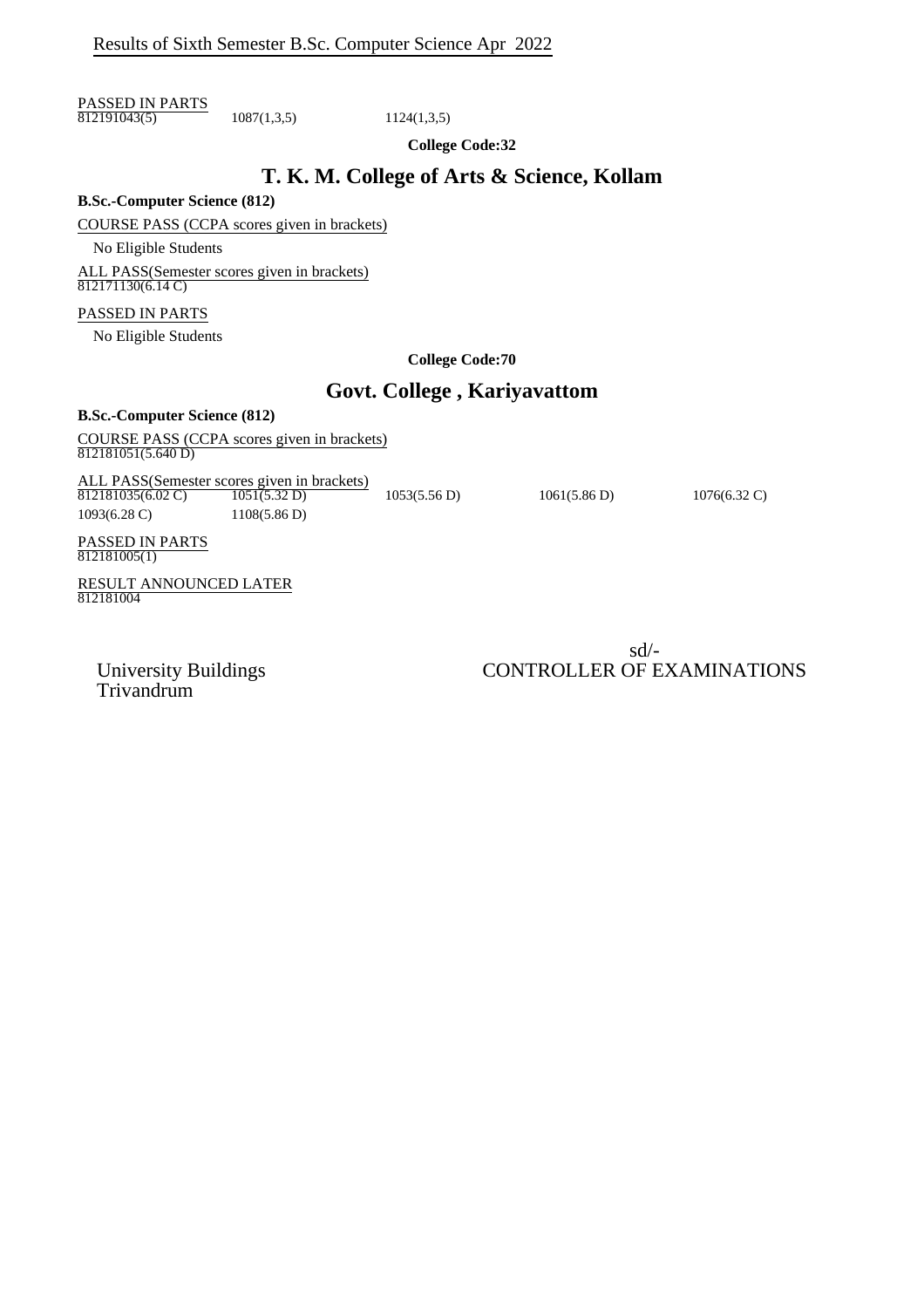PASSED IN PARTS  $\overline{812191043(5)}$  1087(1,3,5) 1124(1,3,5)

**College Code:32**

## **T. K. M. College of Arts & Science, Kollam**

**B.Sc.-Computer Science (812)**

COURSE PASS (CCPA scores given in brackets)

No Eligible Students

ALL PASS(Semester scores given in brackets) 812171130(6.14 C)

#### PASSED IN PARTS

No Eligible Students

**College Code:70**

# **Govt. College , Kariyavattom**

#### **B.Sc.-Computer Science (812)**

COURSE PASS (CCPA scores given in brackets)  $812181051(5.640 D)$ 

ALL PASS(Semester scores given in brackets)  $812181035(6.02 \text{ C})$   $1051(5.32 \text{ D})$   $1053(5.56 \text{ D})$   $1061(5.86 \text{ D})$   $1076(6.32 \text{ C})$ 1093(6.28 C) 1108(5.86 D)

PASSED IN PARTS  $\frac{118888}{812181005(1)}$ 

RESULT ANNOUNCED LATER 812181004

sd/- University Buildings CONTROLLER OF EXAMINATIONS

Trivandrum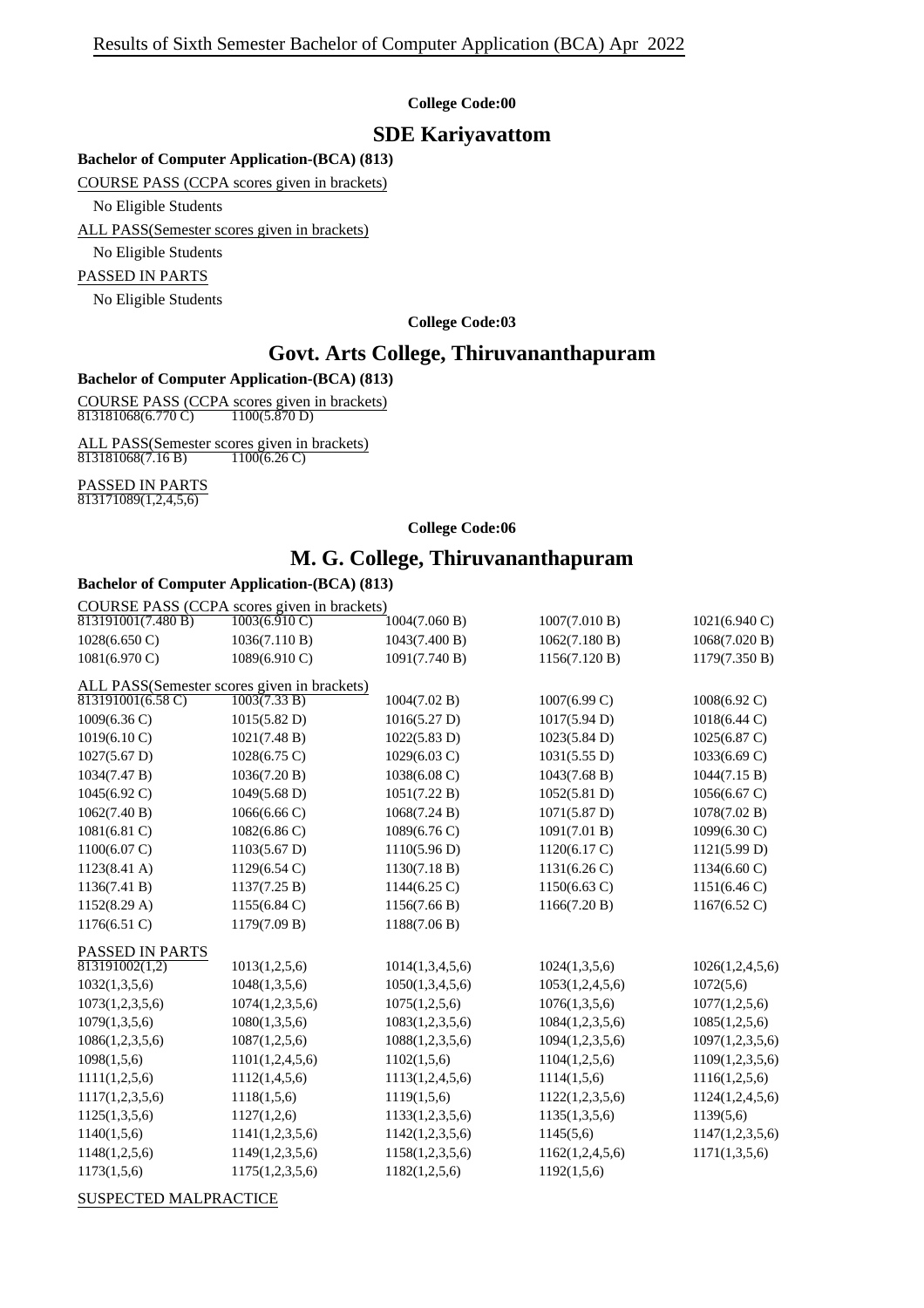### **SDE Kariyavattom**

#### **Bachelor of Computer Application-(BCA) (813)**

COURSE PASS (CCPA scores given in brackets)

No Eligible Students

ALL PASS(Semester scores given in brackets)

No Eligible Students

PASSED IN PARTS

No Eligible Students

#### **College Code:03**

### **Govt. Arts College, Thiruvananthapuram**

#### **Bachelor of Computer Application-(BCA) (813)**

COURSE PASS (CCPA scores given in brackets) 813181068(6.770 C) 1100(5.870 D)

ALL PASS(Semester scores given in brackets)<br> $\frac{813181068(7.16 B)}{1100(6.26 C)}$  $\frac{121211168(50.0000)}{813181068(7.16 B)}$ 

# PASSED IN PARTS

813171089(1,2,4,5,6)

#### **College Code:06**

# **M. G. College, Thiruvananthapuram**

#### **Bachelor of Computer Application-(BCA) (813)**

| COURSE PASS (CCPA scores given in brackets) |                                    |                        |                        |                         |
|---------------------------------------------|------------------------------------|------------------------|------------------------|-------------------------|
| $\overline{813191001(7.480B)}$              | $\overline{1003(6.910 \text{ C})}$ | 1004(7.060 B)          | 1007(7.010 B)          | $1021(6.940 \text{ C})$ |
| 1028(6.650 C)                               | 1036(7.110 B)                      | 1043(7.400 B)          | 1062(7.180 B)          | 1068(7.020 B)           |
| $1081(6.970 \text{ C})$                     | 1089(6.910 C)                      | 1091(7.740 B)          | 1156(7.120 B)          | 1179(7.350 B)           |
| ALL PASS(Semester scores given in brackets) |                                    |                        |                        |                         |
| $813191001(6.58 \text{ C})$                 | 1003(7.33 B)                       | 1004(7.02 B)           | 1007(6.99 C)           | 1008(6.92 C)            |
| $1009(6.36 \text{ C})$                      | 1015(5.82 D)                       | 1016(5.27 D)           | 1017(5.94 D)           | 1018(6.44 C)            |
| 1019(6.10 C)                                | 1021(7.48 B)                       | 1022(5.83 D)           | 1023(5.84 D)           | $1025(6.87 \text{ C})$  |
| $1027(5.67 \text{ D})$                      | $1028(6.75 \text{ C})$             | $1029(6.03 \text{ C})$ | 1031(5.55 D)           | 1033(6.69 C)            |
| 1034(7.47 B)                                | 1036(7.20 B)                       | 1038(6.08 C)           | 1043(7.68 B)           | 1044(7.15 B)            |
| 1045(6.92 C)                                | $1049(5.68 \text{ D})$             | 1051(7.22 B)           | 1052(5.81 D)           | 1056(6.67 C)            |
| 1062(7.40 B)                                | 1066(6.66 C)                       | 1068(7.24 B)           | 1071(5.87 D)           | 1078(7.02 B)            |
| $1081(6.81)$ C)                             | $1082(6.86 \text{ C})$             | 1089(6.76 C)           | 1091(7.01 B)           | $1099(6.30 \text{ C})$  |
| $1100(6.07 \text{ C})$                      | 1103(5.67 D)                       | 1110(5.96 D)           | 1120(6.17 C)           | 1121(5.99 D)            |
| $1123(8.41 \text{ A})$                      | $1129(6.54 \text{ C})$             | 1130(7.18 B)           | 1131(6.26)             | $1134(6.60 \text{ C})$  |
| 1136(7.41 B)                                | 1137(7.25 B)                       | $1144(6.25)$ C)        | $1150(6.63 \text{ C})$ | 1151(6.46 C)            |
| 1152(8.29 A)                                | 1155(6.84 C)                       | 1156(7.66 B)           | 1166(7.20 B)           | 1167(6.52 C)            |
| $1176(6.51)$ C)                             | 1179(7.09 B)                       | 1188(7.06 B)           |                        |                         |
| <b>PASSED IN PARTS</b>                      |                                    |                        |                        |                         |
| 813191002(1,2)                              | 1013(1,2,5,6)                      | 1014(1,3,4,5,6)        | 1024(1,3,5,6)          | 1026(1,2,4,5,6)         |
| 1032(1,3,5,6)                               | 1048(1,3,5,6)                      | 1050(1,3,4,5,6)        | 1053(1,2,4,5,6)        | 1072(5,6)               |
| 1073(1,2,3,5,6)                             | 1074(1,2,3,5,6)                    | 1075(1,2,5,6)          | 1076(1,3,5,6)          | 1077(1,2,5,6)           |
| 1079(1,3,5,6)                               | 1080(1,3,5,6)                      | 1083(1,2,3,5,6)        | 1084(1,2,3,5,6)        | 1085(1,2,5,6)           |
| 1086(1,2,3,5,6)                             | 1087(1,2,5,6)                      | 1088(1,2,3,5,6)        | 1094(1,2,3,5,6)        | 1097(1,2,3,5,6)         |
| 1098(1,5,6)                                 | 1101(1,2,4,5,6)                    | 1102(1,5,6)            | 1104(1,2,5,6)          | 1109(1,2,3,5,6)         |
| 1111(1,2,5,6)                               | 1112(1,4,5,6)                      | 1113(1,2,4,5,6)        | 1114(1,5,6)            | 1116(1,2,5,6)           |
| 1117(1,2,3,5,6)                             | 1118(1,5,6)                        | 1119(1,5,6)            | 1122(1,2,3,5,6)        | 1124(1,2,4,5,6)         |
| 1125(1,3,5,6)                               | 1127(1,2,6)                        | 1133(1,2,3,5,6)        | 1135(1,3,5,6)          | 1139(5,6)               |
| 1140(1,5,6)                                 | 1141(1,2,3,5,6)                    | 1142(1,2,3,5,6)        | 1145(5,6)              | 1147(1,2,3,5,6)         |
| 1148(1,2,5,6)                               | 1149(1,2,3,5,6)                    | 1158(1,2,3,5,6)        | 1162(1,2,4,5,6)        | 1171(1,3,5,6)           |
| 1173(1,5,6)                                 | 1175(1,2,3,5,6)                    | 1182(1,2,5,6)          | 1192(1,5,6)            |                         |
|                                             |                                    |                        |                        |                         |

SUSPECTED MALPRACTICE